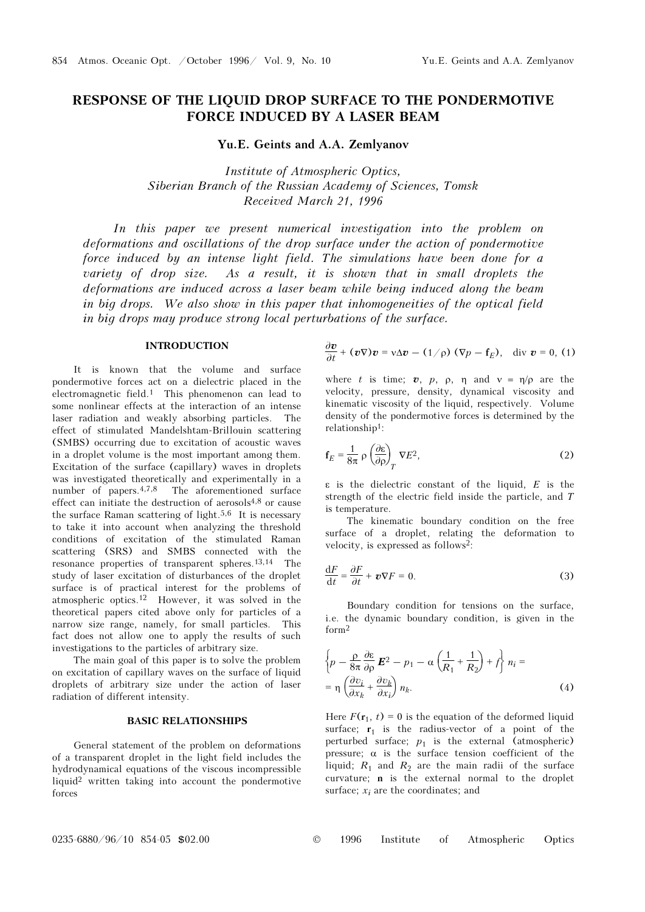# RESPONSE OF THE LIQUID DROP SURFACE TO THE PONDERMOTIVE FORCE INDUCED BY A LASER BEAM

Yu.E. Geints and A.A. Zemlyanov

Institute of Atmospheric Optics, Siberian Branch of the Russian Academy of Sciences, Tomsk Received March 21, 1996

In this paper we present numerical investigation into the problem on deformations and oscillations of the drop surface under the action of pondermotive force induced by an intense light field. The simulations have been done for a variety of drop size. As a result, it is shown that in small droplets the deformations are induced across a laser beam while being induced along the beam in big drops. We also show in this paper that inhomogeneities of the optical field in big drops may produce strong local perturbations of the surface.

### INTRODUCTION

It is known that the volume and surface pondermotive forces act on a dielectric placed in the electromagnetic field.1 This phenomenon can lead to some nonlinear effects at the interaction of an intense laser radiation and weakly absorbing particles. The effect of stimulated Mandelshtam-Brillouin scattering (SMBS) occurring due to excitation of acoustic waves in a droplet volume is the most important among them. Excitation of the surface (capillary) waves in droplets was investigated theoretically and experimentally in a number of papers.4,7,8 The aforementioned surface effect can initiate the destruction of aerosols4,8 or cause the surface Raman scattering of light.5,6 It is necessary to take it into account when analyzing the threshold conditions of excitation of the stimulated Raman scattering (SRS) and SMBS connected with the resonance properties of transparent spheres.13,14 The study of laser excitation of disturbances of the droplet surface is of practical interest for the problems of atmospheric optics.12 However, it was solved in the theoretical papers cited above only for particles of a narrow size range, namely, for small particles. This fact does not allow one to apply the results of such investigations to the particles of arbitrary size.

The main goal of this paper is to solve the problem on excitation of capillary waves on the surface of liquid droplets of arbitrary size under the action of laser radiation of different intensity.

## BASIC RELATIONSHIPS

General statement of the problem on deformations of a transparent droplet in the light field includes the hydrodynamical equations of the viscous incompressible liquid2 written taking into account the pondermotive forces

$$
\frac{\partial \boldsymbol{v}}{\partial t} + (\boldsymbol{v} \nabla) \boldsymbol{v} = \mathbf{v} \Delta \boldsymbol{v} - (1/\rho) (\nabla p - \mathbf{f}_E), \text{ div } \boldsymbol{v} = 0, (1)
$$

where t is time;  $\mathbf{v}$ ,  $\mathbf{p}$ ,  $\mathbf{p}$ ,  $\mathbf{n}$  and  $\mathbf{v} = \mathbf{n}/\mathbf{p}$  are the velocity, pressure, density, dynamical viscosity and kinematic viscosity of the liquid, respectively. Volume density of the pondermotive forces is determined by the relationship1:

$$
\mathbf{f}_E = \frac{1}{8\pi} \rho \left(\frac{\partial \varepsilon}{\partial \rho}\right)_T \nabla E^2,\tag{2}
$$

ε is the dielectric constant of the liquid, E is the strength of the electric field inside the particle, and T is temperature.

The kinematic boundary condition on the free surface of a droplet, relating the deformation to velocity, is expressed as follows2:

$$
\frac{\mathrm{d}F}{\mathrm{d}t} = \frac{\partial F}{\partial t} + \boldsymbol{v}\nabla F = 0.
$$
 (3)

Boundary condition for tensions on the surface, i.e. the dynamic boundary condition, is given in the form<sup>2</sup>

$$
\left\{ p - \frac{\rho}{8\pi} \frac{\partial \varepsilon}{\partial \rho} \mathbf{E}^2 - p_1 - \alpha \left( \frac{1}{R_1} + \frac{1}{R_2} \right) + f \right\} n_i =
$$
\n
$$
= \eta \left( \frac{\partial v_i}{\partial x_k} + \frac{\partial v_k}{\partial x_i} \right) n_k.
$$
\n(4)

Here  $F(\mathbf{r}_1, t) = 0$  is the equation of the deformed liquid surface;  $r_1$  is the radius-vector of a point of the perturbed surface;  $p_1$  is the external (atmospheric) pressure;  $\alpha$  is the surface tension coefficient of the liquid;  $R_1$  and  $R_2$  are the main radii of the surface curvature; n is the external normal to the droplet surface;  $x_i$  are the coordinates; and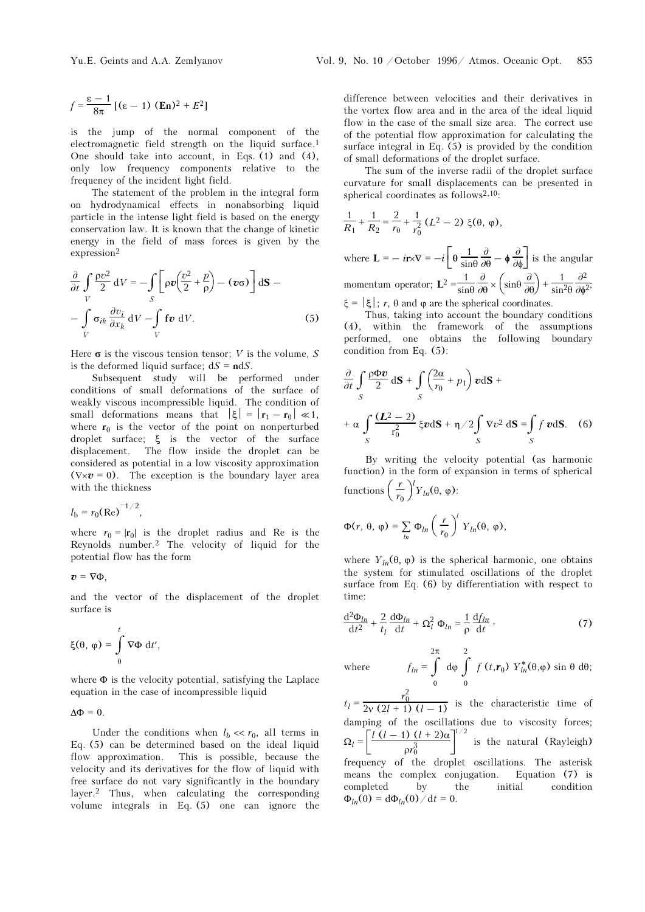$$
f = \frac{\varepsilon - 1}{8\pi} \left[ (\varepsilon - 1) \; (\mathbf{En})^2 + E^2 \right]
$$

is the jump of the normal component of the electromagnetic field strength on the liquid surface.<sup>1</sup> One should take into account, in Eqs. (1) and (4), only low frequency components relative to the frequency of the incident light field.

The statement of the problem in the integral form on hydrodynamical effects in nonabsorbing liquid particle in the intense light field is based on the energy conservation law. It is known that the change of kinetic energy in the field of mass forces is given by the expression<sup>2</sup>

$$
\frac{\partial}{\partial t} \int_{V} \frac{\rho v^2}{2} dV = -\int_{S} \left[ \rho v \left( \frac{v^2}{2} + \frac{p}{\rho} \right) - (\nu \sigma) \right] d\mathbf{S} -
$$

$$
- \int_{V} \sigma_{ik} \frac{\partial v_i}{\partial x_k} dV - \int_{V} \mathbf{f} v dV.
$$
(5)

Here  $\sigma$  is the viscous tension tensor; V is the volume, S is the deformed liquid surface;  $dS = ndS$ .

Subsequent study will be performed under conditions of small deformations of the surface of weakly viscous incompressible liquid. The condition of small deformations means that  $|\xi| = |\mathbf{r}_1 - \mathbf{r}_0| \ll 1$ , where  $r_0$  is the vector of the point on nonperturbed droplet surface; ξ is the vector of the surface displacement. The flow inside the droplet can be considered as potential in a low viscosity approximation considered as potential in a low viscosity approximation<br>  $(\nabla \times \mathbf{v} = 0)$ . The exception is the boundary layer area<br>
with the thickness<br>  $l_b = r_0(\text{Re})^{-1/2}$ , with the thickness

$$
l_{\rm b} = r_0(\text{Re})^{-1/2},
$$

where  $r_0 = |\mathbf{r}_0|$  is the droplet radius and Re is the Reynolds number.2 The velocity of liquid for the potential flow has the form

 $v = \nabla \Phi$ .

and the vector of the displacement of the droplet surface is

$$
\xi(\theta, \varphi) = \int_{0}^{t} \nabla \Phi \, dt',
$$

where  $\Phi$  is the velocity potential, satisfying the Laplace equation in the case of incompressible liquid

 $\Delta \Phi = 0$ .

Under the conditions when  $l_b \ll r_0$ , all terms in Eq. (5) can be determined based on the ideal liquid flow approximation. This is possible, because the velocity and its derivatives for the flow of liquid with free surface do not vary significantly in the boundary layer.2 Thus, when calculating the corresponding volume integrals in Eq. (5) one can ignore the difference between velocities and their derivatives in the vortex flow area and in the area of the ideal liquid flow in the case of the small size area. The correct use of the potential flow approximation for calculating the surface integral in Eq. (5) is provided by the condition of small deformations of the droplet surface.

The sum of the inverse radii of the droplet surface curvature for small displacements can be presented in spherical coordinates as follows<sup>2,10</sup>:

$$
\frac{1}{R_1} + \frac{1}{R_2} = \frac{2}{r_0} + \frac{1}{r_0^2} (L^2 - 2) \xi(\theta, \varphi),
$$

where  $\mathbf{L} = -i\mathbf{r} \times \nabla = -i \left[ \theta \frac{1}{\sin \theta} \frac{\partial}{\partial \theta} - \phi \frac{\partial}{\partial \phi} \right]$ sinθ  $\frac{\partial}{\partial \theta} - \phi \frac{\partial}{\partial \phi}$  is the angular momentum operator;  $L^2 = \frac{1}{\sin \theta}$  $\frac{\partial}{\partial \theta} \times \left( \sin \theta \frac{\partial}{\partial \theta} \right) + \frac{1}{\sin \theta}$  $\sin^2\theta$  $rac{\partial^2}{\partial \phi^2}$ ; ξ =  $|\xi|$ ; *r*, θ and φ are the spherical coordinates.

Thus, taking into account the boundary conditions (4), within the framework of the assumptions performed, one obtains the following boundary condition from Eq. (5):

$$
\frac{\partial}{\partial t} \int_{S} \frac{\rho \Phi \mathbf{v}}{2} d\mathbf{S} + \int_{S} \left( \frac{2\alpha}{r_0} + p_1 \right) \mathbf{v} d\mathbf{S} +
$$
  
+  $\alpha \int_{S} \frac{(\mathbf{L}^2 - 2)}{r_0^2} \xi \mathbf{v} d\mathbf{S} + \eta/2 \int_{S} \nabla v^2 d\mathbf{S} = \int_{S} f \mathbf{v} d\mathbf{S}.$  (6)

By writing the velocity potential (as harmonic function) in the form of expansion in terms of spherical functions  $\left(\frac{r}{r_0}\right)$  $r_0$  $V_{ln}(\theta, \varphi)$ :

$$
\Phi(r, \theta, \varphi) = \sum_{ln} \Phi_{ln} \left(\frac{r}{r_0}\right)^l Y_{ln}(\theta, \varphi),
$$

where  $Y_{ln}(\theta, \varphi)$  is the spherical harmonic, one obtains the system for stimulated oscillations of the droplet surface from Eq. (6) by differentiation with respect to time:

$$
\frac{\mathrm{d}^2 \Phi_{ln}}{\mathrm{d}t^2} + \frac{2}{t_l} \frac{\mathrm{d}\Phi_{ln}}{\mathrm{d}t} + \Omega_l^2 \Phi_{ln} = \frac{1}{\rho} \frac{\mathrm{d}f_{ln}}{\mathrm{d}t},\tag{7}
$$

where  $f_{ln} = \int$ 0 2π  $d\varphi \int$ 0 2  $f(t,r_0)$   $Y_{ln}^*(\theta,\varphi)$  sin  $\theta$  d $\theta$ ;

 $t_l = \frac{r_0^2}{2v(2l + 1)(l - 1)}$  is the characteristic time of damping of the oscillations due to viscosity forces;  $\Omega_l = \left[ \frac{l (l - 1) (l + 2) \alpha}{\rho r_0^3} \right]$  $\rho r_0^3$ 1/2 is the natural (Rayleigh) frequency of the droplet oscillations. The asterisk means the complex conjugation. Equation (7) is completed by the initial condition  $\Phi_{ln}(0) = d\Phi_{ln}(0) / dt = 0.$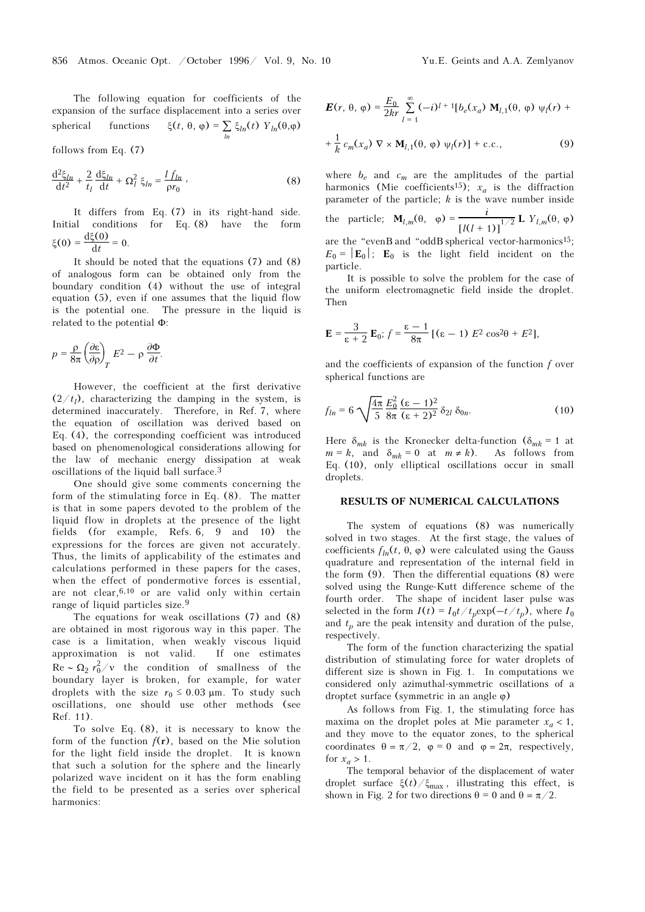The following equation for coefficients of the expansion of the surface displacement into a series over spherical functions  $\xi(t, \theta, \varphi) = \sum_{\text{ln}} \xi_{\text{ln}}(t) Y_{\text{ln}}(\theta, \varphi)$ 

follows from Eq. (7)

$$
\frac{\mathrm{d}^2 \xi_{ln}}{\mathrm{d}t^2} + \frac{2}{t_l} \frac{\mathrm{d}\xi_{ln}}{\mathrm{d}t} + \Omega_l^2 \xi_{ln} = \frac{l f_{ln}}{\rho r_0},\tag{8}
$$

It differs from Eq. (7) in its right-hand side. Initial conditions for Eq. (8) have the form  $\xi(0) = \frac{d\xi(0)}{dt} = 0.$ 

It should be noted that the equations (7) and (8) of analogous form can be obtained only from the boundary condition (4) without the use of integral equation (5), even if one assumes that the liquid flow is the potential one. The pressure in the liquid is related to the potential Φ:

$$
p = \frac{\rho}{8\pi} \left(\frac{\partial \varepsilon}{\partial \rho}\right)_T E^2 - \rho \frac{\partial \Phi}{\partial t}.
$$

However, the coefficient at the first derivative  $(2/t_i)$ , characterizing the damping in the system, is determined inaccurately. Therefore, in Ref. 7, where the equation of oscillation was derived based on Eq. (4), the corresponding coefficient was introduced based on phenomenological considerations allowing for the law of mechanic energy dissipation at weak oscillations of the liquid ball surface.<sup>3</sup>

One should give some comments concerning the form of the stimulating force in Eq. (8). The matter is that in some papers devoted to the problem of the liquid flow in droplets at the presence of the light fields (for example, Refs. 6, 9 and 10) the expressions for the forces are given not accurately. Thus, the limits of applicability of the estimates and calculations performed in these papers for the cases, when the effect of pondermotive forces is essential, are not clear,6,10 or are valid only within certain range of liquid particles size.<sup>9</sup>

The equations for weak oscillations (7) and (8) are obtained in most rigorous way in this paper. The case is a limitation, when weakly viscous liquid approximation is not valid. If one estimates  $\text{Re} \sim \Omega_2 r_0^2/v$  the condition of smallness of the boundary layer is broken, for example, for water droplets with the size  $r_0 \le 0.03$  μm. To study such oscillations, one should use other methods (see Ref. 11).

To solve Eq. (8), it is necessary to know the form of the function  $f(r)$ , based on the Mie solution for the light field inside the droplet. It is known that such a solution for the sphere and the linearly polarized wave incident on it has the form enabling the field to be presented as a series over spherical harmonics:

$$
\mathbf{E}(r, \theta, \varphi) = \frac{E_0}{2kr} \sum_{l=1}^{\infty} (-i)^{l+1} [b_e(x_a) \mathbf{M}_{l,1}(\theta, \varphi) \psi_l(r) +
$$
  
+  $\frac{1}{k} c_m(x_a) \nabla \times \mathbf{M}_{l,1}(\theta, \varphi) \psi_l(r)] + \text{c.c.},$  (9)

where  $b_e$  and  $c_m$  are the amplitudes of the partial harmonics (Mie coefficients<sup>15</sup>);  $x_a$  is the diffraction parameter of the particle;  $k$  is the wave number inside the particle;  $\mathbf{M}_{l,m}(\theta, \varphi) = \frac{i}{\left[l(l+1)\right]^{1/2}} \mathbf{L} Y_{l,m}(\theta, \varphi)$ are the "evenB and "oddB spherical vector-harmonics<sup>15</sup>;  $E_0 = |\mathbf{E}_0|$ ;  $\mathbf{E}_0$  is the light field incident on the particle.

It is possible to solve the problem for the case of the uniform electromagnetic field inside the droplet. Then

$$
\mathbf{E} = \frac{3}{\varepsilon + 2} \mathbf{E}_0; f = \frac{\varepsilon - 1}{8\pi} [(\varepsilon - 1) E^2 \cos^2 \theta + E^2],
$$

and the coefficients of expansion of the function f over spherical functions are

$$
f_{ln} = 6 \sqrt{\frac{4\pi}{5}} \frac{E_0^2}{8\pi} \frac{(\varepsilon - 1)^2}{(\varepsilon + 2)^2} \, \delta_{2l} \, \delta_{0n}.\tag{10}
$$

Here  $\delta_{mk}$  is the Kronecker delta-function ( $\delta_{mk} = 1$  at  $m = k$ , and  $\delta_{mk} = 0$  at  $m \neq k$ ). As follows from Eq. (10), only elliptical oscillations occur in small droplets.

#### RESULTS OF NUMERICAL CALCULATIONS

The system of equations (8) was numerically solved in two stages. At the first stage, the values of coefficients  $f<sub>ln</sub>(t, θ, φ)$  were calculated using the Gauss quadrature and representation of the internal field in the form (9). Then the differential equations (8) were solved using the Runge-Kutt difference scheme of the fourth order. The shape of incident laser pulse was selected in the form  $I(t) = I_0 t / t_p \exp(-t/t_p)$ , where  $I_0$ and  $t_p$  are the peak intensity and duration of the pulse, respectively.

The form of the function characterizing the spatial distribution of stimulating force for water droplets of different size is shown in Fig. 1. In computations we considered only azimuthal-symmetric oscillations of a droptet surface (symmetric in an angle ϕ)

As follows from Fig. 1, the stimulating force has maxima on the droplet poles at Mie parameter  $x_a < 1$ , and they move to the equator zones, to the spherical coordinates  $\theta = \pi/2$ ,  $\varphi = 0$  and  $\varphi = 2\pi$ , respectively, for  $x_a > 1$ .

The temporal behavior of the displacement of water droplet surface  $\xi(t)/\xi_{\text{max}}$ , illustrating this effect, is shown in Fig. 2 for two directions  $\theta = 0$  and  $\theta = \pi/2$ .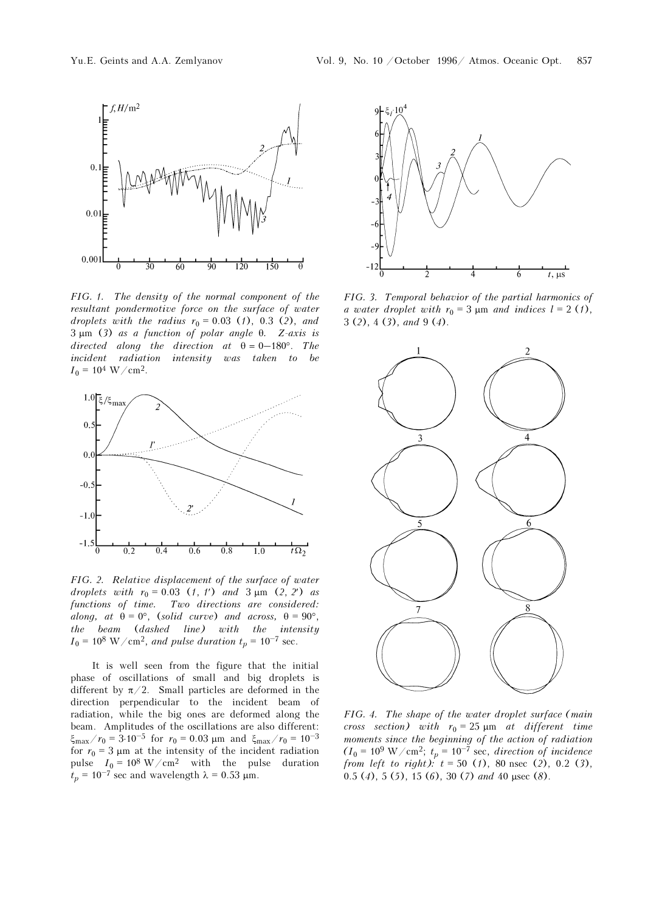

FIG. 1. The density of the normal component of the resultant pondermotive force on the surface of water droplets with the radius  $r_0 = 0.03$  (1), 0.3 (2), and 3 μm (3) as a function of polar angle θ. Z-axis is directed along the direction at  $\theta = 0-180^{\circ}$ . The incident radiation intensity was taken to be  $I_0 = 10^4$  W/cm<sup>2</sup>.



FIG. 2. Relative displacement of the surface of water droplets with  $r_0 = 0.03$  (1, 1') and  $3 \mu m$  (2, 2') as functions of time. Two directions are considered: along, at  $\theta = 0^{\circ}$ , (solid curve) and across,  $\theta = 90^{\circ}$ , the beam (dashed line) with the intensity  $I_0 = 10^8$  W/cm<sup>2</sup>, and pulse duration  $t_p = 10^{-7}$  sec.

It is well seen from the figure that the initial phase of oscillations of small and big droplets is different by  $\pi/2$ . Small particles are deformed in the direction perpendicular to the incident beam of radiation, while the big ones are deformed along the beam. Amplitudes of the oscillations are also different:  $\xi_{\text{max}}/r_0 = 3.10^{-5}$  for  $r_0 = 0.03 \text{ }\mu\text{m}$  and  $\xi_{\text{max}}$ radiation, while the big ones are deformed along the beam. Amplitudes of the oscillations are also different: for  $r_0 = 3 \mu m$  at the intensity of the incident radiation pulse  $I_0 = 10^8 \text{ W/cm}^2$  with the pulse duration  $t_p = 10^{-7}$  sec and wavelength  $\lambda = 0.53 \text{ }\mu\text{m}$ .  $\xi_{\text{max}}/r_0 = 3.10^{-5}$  for  $r_0 = 0.03$  μm and  $\xi_{\text{m}}$ <br>for  $r_0 = 3$  μm at the intensity of the incidend<br>pulse  $I_0 = 10^8$  W/cm<sup>2</sup> with the pul<br> $t_p = 10^{-7}$  sec and wavelength  $\lambda = 0.53$  μm.



FIG. 3. Temporal behavior of the partial harmonics of a water droplet with  $r_0 = 3 \text{ µm}$  and indices  $l = 2 \text{ (1)},$  $3(2), 4(3),$  and  $9(4).$ 



FIG. 4. The shape of the water droplet surface (main cross section) with  $r_0 = 25 \text{ }\mu\text{m}$  at different time moments since the beginning of the action of radiation  $(I_0 = 10^9 \text{ W/cm}^2$ ;  $t_p = 10^{-7} \text{ sec}$ , direction of incidence from left to right):  $t = 50$  (1), 80 nsec (2), 0.2 (3), 0.5 (4), 5 (5), 15 (6), 30 (7) and 40 μsec (8).